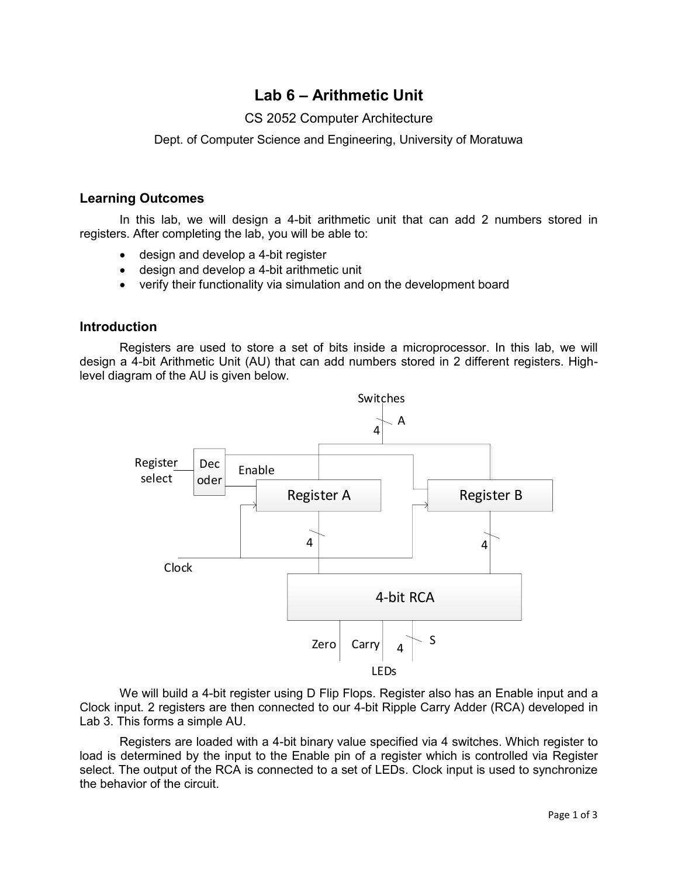# **Lab 6 – Arithmetic Unit**

### CS 2052 Computer Architecture

Dept. of Computer Science and Engineering, University of Moratuwa

#### **Learning Outcomes**

In this lab, we will design a 4-bit arithmetic unit that can add 2 numbers stored in registers. After completing the lab, you will be able to:

- design and develop a 4-bit register
- design and develop a 4-bit arithmetic unit
- verify their functionality via simulation and on the development board

#### **Introduction**

Registers are used to store a set of bits inside a microprocessor. In this lab, we will design a 4-bit Arithmetic Unit (AU) that can add numbers stored in 2 different registers. Highlevel diagram of the AU is given below.



We will build a 4-bit register using D Flip Flops. Register also has an Enable input and a Clock input. 2 registers are then connected to our 4-bit Ripple Carry Adder (RCA) developed in Lab 3. This forms a simple AU.

Registers are loaded with a 4-bit binary value specified via 4 switches. Which register to load is determined by the input to the Enable pin of a register which is controlled via Register select. The output of the RCA is connected to a set of LEDs. Clock input is used to synchronize the behavior of the circuit.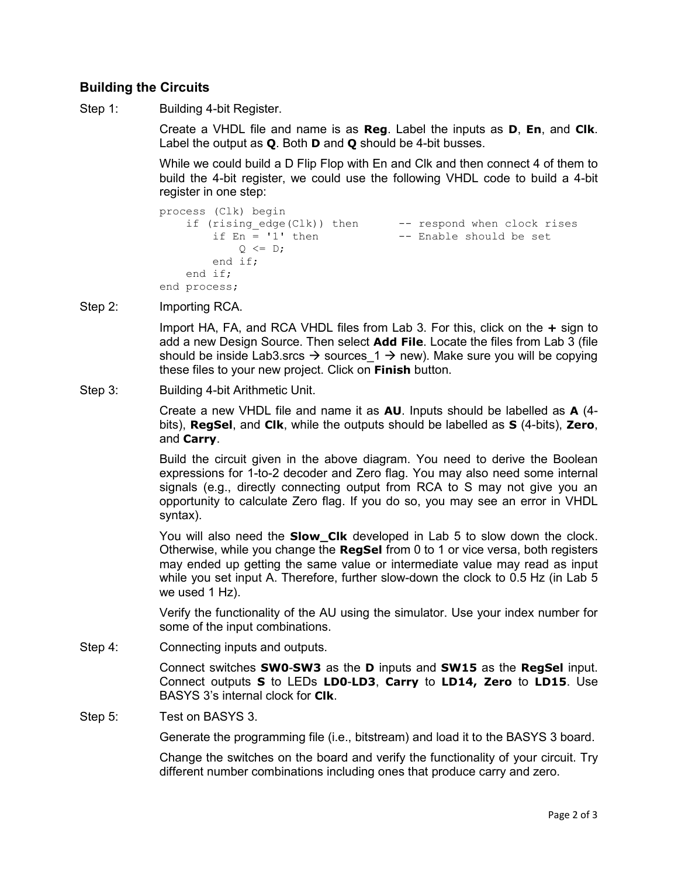### **Building the Circuits**

Step 1: Building 4-bit Register.

Create a VHDL file and name is as **Reg**. Label the inputs as **D**, **En**, and **Clk**. Label the output as **Q**. Both **D** and **Q** should be 4-bit busses.

While we could build a D Flip Flop with En and Clk and then connect 4 of them to build the 4-bit register, we could use the following VHDL code to build a 4-bit register in one step:

```
process (Clk) begin
   if (rising edge(Clk)) then -- respond when clock rises
       if En = '1' then -- Enable should be set
           Q \leq D;
        end if;
    end if;
end process;
```
Step 2: **Importing RCA.** 

Import HA, FA, and RCA VHDL files from Lab 3. For this, click on the **+** sign to add a new Design Source. Then select **Add File**. Locate the files from Lab 3 (file should be inside Lab3.srcs  $\rightarrow$  sources\_1  $\rightarrow$  new). Make sure you will be copying these files to your new project. Click on **Finish** button.

Step 3: Building 4-bit Arithmetic Unit.

Create a new VHDL file and name it as **AU**. Inputs should be labelled as **A** (4 bits), **RegSel**, and **Clk**, while the outputs should be labelled as **S** (4-bits), **Zero**, and **Carry**.

Build the circuit given in the above diagram. You need to derive the Boolean expressions for 1-to-2 decoder and Zero flag. You may also need some internal signals (e.g., directly connecting output from RCA to S may not give you an opportunity to calculate Zero flag. If you do so, you may see an error in VHDL syntax).

You will also need the **Slow\_Clk** developed in Lab 5 to slow down the clock. Otherwise, while you change the **RegSel** from 0 to 1 or vice versa, both registers may ended up getting the same value or intermediate value may read as input while you set input A. Therefore, further slow-down the clock to 0.5 Hz (in Lab 5 we used 1 Hz).

Verify the functionality of the AU using the simulator. Use your index number for some of the input combinations.

Step 4: Connecting inputs and outputs.

Connect switches **SW0**-**SW3** as the **D** inputs and **SW15** as the **RegSel** input. Connect outputs **S** to LEDs **LD0**-**LD3**, **Carry** to **LD14, Zero** to **LD15**. Use BASYS 3's internal clock for **Clk**.

Step 5: Test on BASYS 3.

Generate the programming file (i.e., bitstream) and load it to the BASYS 3 board.

Change the switches on the board and verify the functionality of your circuit. Try different number combinations including ones that produce carry and zero.